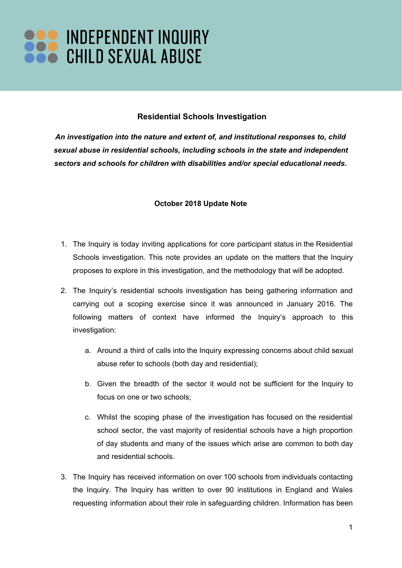## **Residential Schools Investigation**

*An investigation into the nature and extent of, and institutional responses to, child sexual abuse in residential schools, including schools in the state and independent sectors and schools for children with disabilities and/or special educational needs.*

## **October 2018 Update Note**

- 1. The Inquiry is today inviting applications for core participant status in the Residential Schools investigation. This note provides an update on the matters that the Inquiry proposes to explore in this investigation, and the methodology that will be adopted.
- 2. The Inquiry's residential schools investigation has being gathering information and carrying out a scoping exercise since it was announced in January 2016. The following matters of context have informed the Inquiry's approach to this investigation:
	- a. Around a third of calls into the Inquiry expressing concerns about child sexual abuse refer to schools (both day and residential);
	- b. Given the breadth of the sector it would not be sufficient for the Inquiry to focus on one or two schools;
	- c. Whilst the scoping phase of the investigation has focused on the residential school sector, the vast majority of residential schools have a high proportion of day students and many of the issues which arise are common to both day and residential schools.
- 3. The Inquiry has received information on over 100 schools from individuals contacting the Inquiry. The Inquiry has written to over 90 institutions in England and Wales requesting information about their role in safeguarding children. Information has been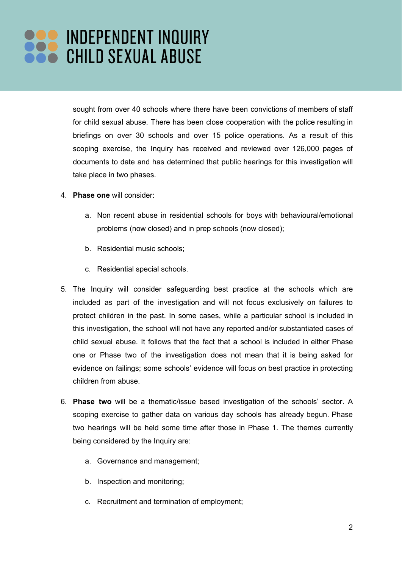sought from over 40 schools where there have been convictions of members of staff for child sexual abuse. There has been close cooperation with the police resulting in briefings on over 30 schools and over 15 police operations. As a result of this scoping exercise, the Inquiry has received and reviewed over 126,000 pages of documents to date and has determined that public hearings for this investigation will take place in two phases.

- 4. **Phase one** will consider:
	- a. Non recent abuse in residential schools for boys with behavioural/emotional problems (now closed) and in prep schools (now closed);
	- b. Residential music schools;
	- c. Residential special schools.
- 5. The Inquiry will consider safeguarding best practice at the schools which are included as part of the investigation and will not focus exclusively on failures to protect children in the past. In some cases, while a particular school is included in this investigation, the school will not have any reported and/or substantiated cases of child sexual abuse. It follows that the fact that a school is included in either Phase one or Phase two of the investigation does not mean that it is being asked for evidence on failings; some schools' evidence will focus on best practice in protecting children from abuse.
- 6. **Phase two** will be a thematic/issue based investigation of the schools' sector. A scoping exercise to gather data on various day schools has already begun. Phase two hearings will be held some time after those in Phase 1. The themes currently being considered by the Inquiry are:
	- a. Governance and management;
	- b. Inspection and monitoring;
	- c. Recruitment and termination of employment;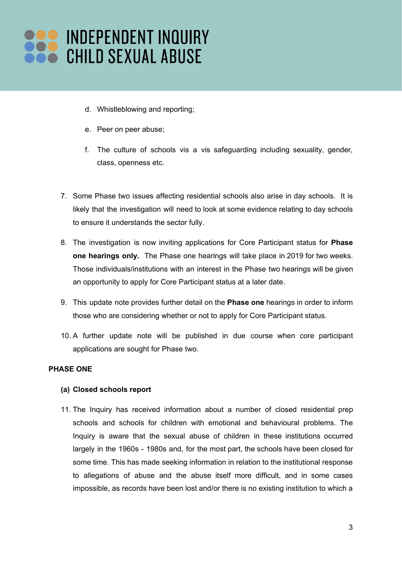- d. Whistleblowing and reporting;
- e. Peer on peer abuse;
- f. The culture of schools vis a vis safeguarding including sexuality, gender, class, openness etc.
- 7. Some Phase two issues affecting residential schools also arise in day schools. It is likely that the investigation will need to look at some evidence relating to day schools to ensure it understands the sector fully.
- 8. The investigation is now inviting applications for Core Participant status for **Phase one hearings only.** The Phase one hearings will take place in 2019 for two weeks. Those individuals/institutions with an interest in the Phase two hearings will be given an opportunity to apply for Core Participant status at a later date.
- 9. This update note provides further detail on the **Phase one** hearings in order to inform those who are considering whether or not to apply for Core Participant status.
- 10. A further update note will be published in due course when core participant applications are sought for Phase two.

### **PHASE ONE**

#### **(a) Closed schools report**

11. The Inquiry has received information about a number of closed residential prep schools and schools for children with emotional and behavioural problems. The Inquiry is aware that the sexual abuse of children in these institutions occurred largely in the 1960s - 1980s and, for the most part, the schools have been closed for some time. This has made seeking information in relation to the institutional response to allegations of abuse and the abuse itself more difficult, and in some cases impossible, as records have been lost and/or there is no existing institution to which a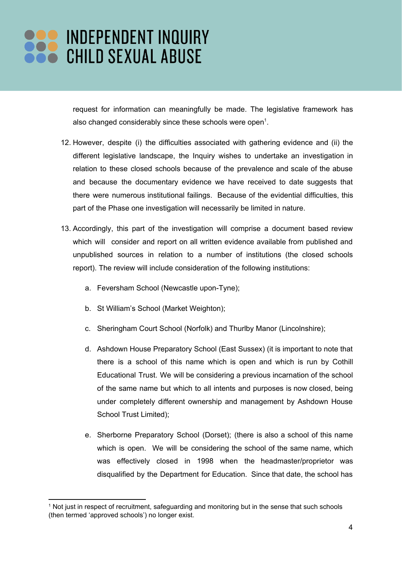request for information can meaningfully be made. The legislative framework has also changed considerably since these schools were open<sup>1</sup>.

- 12. However, despite (i) the difficulties associated with gathering evidence and (ii) the different legislative landscape, the Inquiry wishes to undertake an investigation in relation to these closed schools because of the prevalence and scale of the abuse and because the documentary evidence we have received to date suggests that there were numerous institutional failings. Because of the evidential difficulties, this part of the Phase one investigation will necessarily be limited in nature.
- 13. Accordingly, this part of the investigation will comprise a document based review which will consider and report on all written evidence available from published and unpublished sources in relation to a number of institutions (the closed schools report). The review will include consideration of the following institutions:
	- a. Feversham School (Newcastle upon-Tyne);
	- b. St William's School (Market Weighton);
	- c. Sheringham Court School (Norfolk) and Thurlby Manor (Lincolnshire);
	- d. Ashdown House Preparatory School (East Sussex) (it is important to note that there is a school of this name which is open and which is run by Cothill Educational Trust. We will be considering a previous incarnation of the school of the same name but which to all intents and purposes is now closed, being under completely different ownership and management by Ashdown House School Trust Limited);
	- e. Sherborne Preparatory School (Dorset); (there is also a school of this name which is open. We will be considering the school of the same name, which was effectively closed in 1998 when the headmaster/proprietor was disqualified by the Department for Education. Since that date, the school has

<sup>1</sup> Not just in respect of recruitment, safeguarding and monitoring but in the sense that such schools (then termed 'approved schools') no longer exist.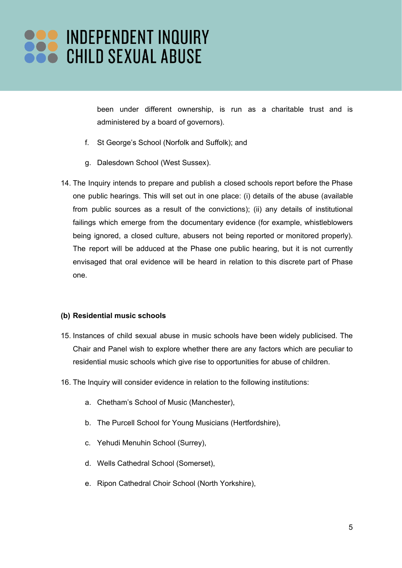been under different ownership, is run as a charitable trust and is administered by a board of governors).

- f. St George's School (Norfolk and Suffolk); and
- g. Dalesdown School (West Sussex).
- 14. The Inquiry intends to prepare and publish a closed schools report before the Phase one public hearings. This will set out in one place: (i) details of the abuse (available from public sources as a result of the convictions); (ii) any details of institutional failings which emerge from the documentary evidence (for example, whistleblowers being ignored, a closed culture, abusers not being reported or monitored properly). The report will be adduced at the Phase one public hearing, but it is not currently envisaged that oral evidence will be heard in relation to this discrete part of Phase one.

#### **(b) Residential music schools**

- 15. Instances of child sexual abuse in music schools have been widely publicised. The Chair and Panel wish to explore whether there are any factors which are peculiar to residential music schools which give rise to opportunities for abuse of children.
- 16. The Inquiry will consider evidence in relation to the following institutions:
	- a. Chetham's School of Music (Manchester),
	- b. The Purcell School for Young Musicians (Hertfordshire),
	- c. Yehudi Menuhin School (Surrey),
	- d. Wells Cathedral School (Somerset),
	- e. Ripon Cathedral Choir School (North Yorkshire),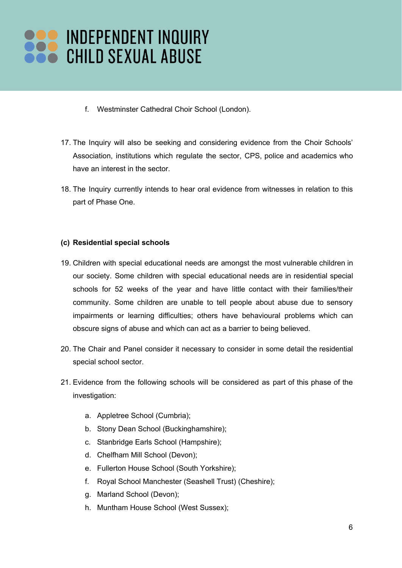- f. Westminster Cathedral Choir School (London).
- 17. The Inquiry will also be seeking and considering evidence from the Choir Schools' Association, institutions which regulate the sector, CPS, police and academics who have an interest in the sector.
- 18. The Inquiry currently intends to hear oral evidence from witnesses in relation to this part of Phase One.

## **(c) Residential special schools**

- 19. Children with special educational needs are amongst the most vulnerable children in our society. Some children with special educational needs are in residential special schools for 52 weeks of the year and have little contact with their families/their community. Some children are unable to tell people about abuse due to sensory impairments or learning difficulties; others have behavioural problems which can obscure signs of abuse and which can act as a barrier to being believed.
- 20. The Chair and Panel consider it necessary to consider in some detail the residential special school sector.
- 21. Evidence from the following schools will be considered as part of this phase of the investigation:
	- a. Appletree School (Cumbria);
	- b. Stony Dean School (Buckinghamshire);
	- c. Stanbridge Earls School (Hampshire);
	- d. Chelfham Mill School (Devon);
	- e. Fullerton House School (South Yorkshire);
	- f. Royal School Manchester (Seashell Trust) (Cheshire);
	- g. Marland School (Devon);
	- h. Muntham House School (West Sussex);